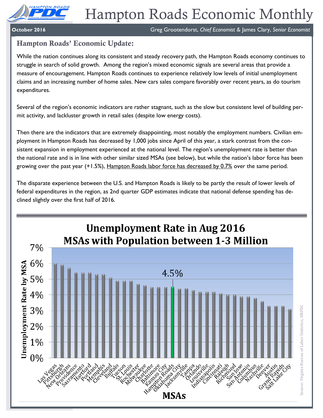

**October 2016** Greg Grootendorst, *Chief Economist & James Clary*, *Senior Economist Conomist* 

# **Hampton Roads' Economic Update:**

While the nation continues along its consistent and steady recovery path, the Hampton Roads economy continues to struggle in search of solid growth. Among the region's mixed economic signals are several areas that provide a measure of encouragement. Hampton Roads continues to experience relatively low levels of initial unemployment claims and an increasing number of home sales. New cars sales compare favorably over recent years, as do tourism expenditures.

Several of the region's economic indicators are rather stagnant, such as the slow but consistent level of building permit activity, and lackluster growth in retail sales (despite low energy costs).

Then there are the indicators that are extremely disappointing, most notably the employment numbers. Civilian employment in Hampton Roads has decreased by 1,000 jobs since April of this year, a stark contrast from the consistent expansion in employment experienced at the national level. The region's unemployment rate is better than the national rate and is in line with other similar sized MSAs (see below), but while the nation's labor force has been growing over the past year  $(+1.5%)$ , Hampton Roads labor force has decreased by 0.7% over the same period.

The disparate experience between the U.S. and Hampton Roads is likely to be partly the result of lower levels of federal expenditures in the region, as 2nd quarter GDP estimates indicate that national defense spending has declined slightly over the first half of 2016.

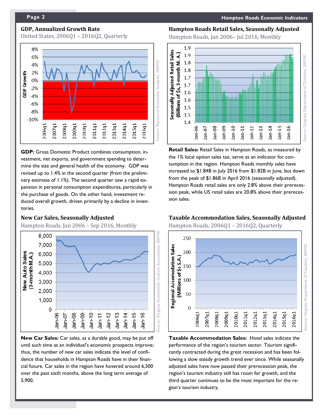# **GDP, Annualized Growth Rate**

United States, 2006Q1 – 2016Q2, Quarterly



**GDP:** Gross Domestic Product combines consumption, investment, net exports, and government spending to determine the size and general health of the economy. GDP was revised up to 1.4% in the second quarter (from the preliminary estimate of 1.1%). The second quarter saw a rapid expansion in personal consumption expenditures, particularly in the purchase of goods. On the other hand, investment reduced overall growth, driven primarily by a decline in inventories.

#### **New Car Sales, Seasonally Adjusted**

Hampton Roads, Jan 2006 – Sep 2016, Monthly



**New Car Sales:** Car sales, as a durable good, may be put off until such time as an individual's economic prospects improve; thus, the number of new car sales indicate the level of confidence that households in Hampton Roads have in their financial future. Car sales in the region have hovered around 6,300 over the past sixth months, above the long term average of 5,900.

#### **Hampton Roads Retail Sales, Seasonally Adjusted**

Hampton Roads, Jan 2006– Jul 2016, Monthly



**Retail Sales:** Retail Sales in Hampton Roads, as measured by the 1% local option sales tax, serve as an indicator for consumption in the region. Hampton Roads monthly sales have increased to \$1.84B in July 2016 from \$1.82B in June, but down from the peak of \$1.86B in April 2016 (seasonally adjusted). Hampton Roads retail sales are only 2.8% above their prerecession peak, while US retail sales are 20.8% above their prerecession sales.

#### **Taxable Accommodation Sales, Seasonally Adjusted**

Hampton Roads, 2006Q1 – 2016Q2, Quarterly



**Taxable Accommodation Sales:** Hotel sales indicate the performance of the region's tourism sector. Tourism significantly contracted during the great recession and has been following a slow steady growth trend ever since. While seasonally adjusted sales have now passed their prerecession peak, the region's tourism industry still has room for growth, and the third quarter continues to be the most important for the region's tourism industry.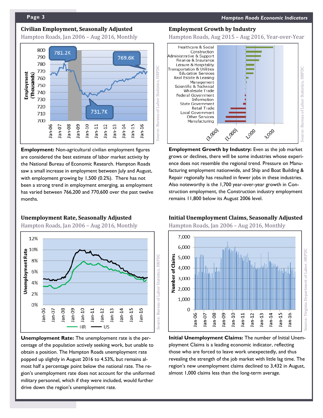### **Civilian Employment, Seasonally Adjusted**

Hampton Roads, Jan 2006 – Aug 2016, Monthly



**Employment:** Non-agricultural civilian employment figures are considered the best estimate of labor market activity by the National Bureau of Economic Research. Hampton Roads saw a small increase in employment between July and August, with employment growing by 1,500 (0.2%). There has not been a strong trend in employment emerging, as employment has varied between 766,200 and 770,600 over the past twelve months.

#### **Unemployment Rate, Seasonally Adjusted**

Hampton Roads, Jan 2006 – Aug 2016, Monthly



**Unemployment Rate:** The unemployment rate is the percentage of the population actively seeking work, but unable to obtain a position. The Hampton Roads unemployment rate popped up slightly in August 2016 to 4.53%, but remains almost half a percentage point below the national rate. The region's unemployment rate does not account for the uniformed military personnel, which if they were included, would further drive down the region's unemployment rate.

### **Employment Growth by Industry**

Hampton Roads, Aug 2015 – Aug 2016, Year-over-Year



**Employment Growth by Industry:** Even as the job market grows or declines, there will be some industries whose experience does not resemble the regional trend. Pressure on Manufacturing employment nationwide, and Ship and Boat Building & Repair regionally has resulted in fewer jobs in these industries. Also noteworthy is the 1,700 year-over-year growth in Construction employment, the Construction industry employment remains 11,800 below its August 2006 level.

# **Initial Unemployment Claims, Seasonally Adjusted**

Hampton Roads, Jan 2006 – Aug 2016, Monthly



**Initial Unemployment Claims:** The number of Initial Unemployment Claims is a leading economic indicator, reflecting those who are forced to leave work unexpectedly, and thus revealing the strength of the job market with little lag time. The region's new unemployment claims declined to 3,432 in August, almost 1,000 claims less than the long-term average.

**Page 3** *Hampton Roads Economic Indicators*